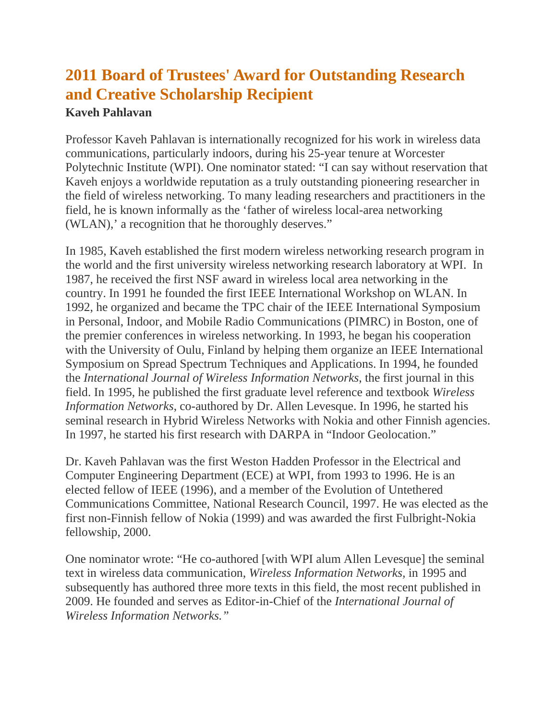## **2011 Board of Trustees' Award for Outstanding Research and Creative Scholarship Recipient**

## **Kaveh Pahlavan**

Professor Kaveh Pahlavan is internationally recognized for his work in wireless data communications, particularly indoors, during his 25-year tenure at Worcester Polytechnic Institute (WPI). One nominator stated: "I can say without reservation that Kaveh enjoys a worldwide reputation as a truly outstanding pioneering researcher in the field of wireless networking. To many leading researchers and practitioners in the field, he is known informally as the 'father of wireless local-area networking (WLAN),' a recognition that he thoroughly deserves."

In 1985, Kaveh established the first modern wireless networking research program in the world and the first university wireless networking research laboratory at WPI. In 1987, he received the first NSF award in wireless local area networking in the country. In 1991 he founded the first IEEE International Workshop on WLAN. In 1992, he organized and became the TPC chair of the IEEE International Symposium in Personal, Indoor, and Mobile Radio Communications (PIMRC) in Boston, one of the premier conferences in wireless networking. In 1993, he began his cooperation with the University of Oulu, Finland by helping them organize an IEEE International Symposium on Spread Spectrum Techniques and Applications. In 1994, he founded the *International Journal of Wireless Information Networks*, the first journal in this field. In 1995, he published the first graduate level reference and textbook *Wireless Information Networks*, co-authored by Dr. Allen Levesque. In 1996, he started his seminal research in Hybrid Wireless Networks with Nokia and other Finnish agencies. In 1997, he started his first research with DARPA in "Indoor Geolocation."

Dr. Kaveh Pahlavan was the first Weston Hadden Professor in the Electrical and Computer Engineering Department (ECE) at WPI, from 1993 to 1996. He is an elected fellow of IEEE (1996), and a member of the Evolution of Untethered Communications Committee, National Research Council, 1997. He was elected as the first non-Finnish fellow of Nokia (1999) and was awarded the first Fulbright-Nokia fellowship, 2000.

One nominator wrote: "He co-authored [with WPI alum Allen Levesque] the seminal text in wireless data communication, *Wireless Information Networks,* in 1995 and subsequently has authored three more texts in this field, the most recent published in 2009. He founded and serves as Editor-in-Chief of the *International Journal of Wireless Information Networks."*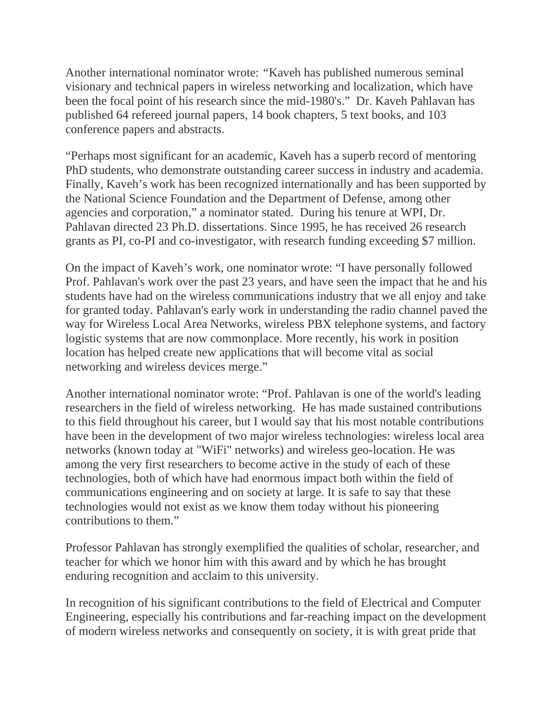Another international nominator wrote: *"*Kaveh has published numerous seminal visionary and technical papers in wireless networking and localization, which have been the focal point of his research since the mid-1980's." Dr. Kaveh Pahlavan has published 64 refereed journal papers, 14 book chapters, 5 text books, and 103 conference papers and abstracts.

"Perhaps most significant for an academic, Kaveh has a superb record of mentoring PhD students, who demonstrate outstanding career success in industry and academia. Finally, Kaveh's work has been recognized internationally and has been supported by the National Science Foundation and the Department of Defense, among other agencies and corporation," a nominator stated. During his tenure at WPI, Dr. Pahlavan directed 23 Ph.D. dissertations. Since 1995, he has received 26 research grants as PI, co-PI and co-investigator, with research funding exceeding \$7 million.

On the impact of Kaveh's work, one nominator wrote: "I have personally followed Prof. Pahlavan's work over the past 23 years, and have seen the impact that he and his students have had on the wireless communications industry that we all enjoy and take for granted today. Pahlavan's early work in understanding the radio channel paved the way for Wireless Local Area Networks, wireless PBX telephone systems, and factory logistic systems that are now commonplace. More recently, his work in position location has helped create new applications that will become vital as social networking and wireless devices merge."

Another international nominator wrote: "Prof. Pahlavan is one of the world's leading researchers in the field of wireless networking. He has made sustained contributions to this field throughout his career, but I would say that his most notable contributions have been in the development of two major wireless technologies: wireless local area networks (known today at "WiFi" networks) and wireless geo-location. He was among the very first researchers to become active in the study of each of these technologies, both of which have had enormous impact both within the field of communications engineering and on society at large. It is safe to say that these technologies would not exist as we know them today without his pioneering contributions to them."

Professor Pahlavan has strongly exemplified the qualities of scholar, researcher, and teacher for which we honor him with this award and by which he has brought enduring recognition and acclaim to this university.

In recognition of his significant contributions to the field of Electrical and Computer Engineering, especially his contributions and far-reaching impact on the development of modern wireless networks and consequently on society, it is with great pride that